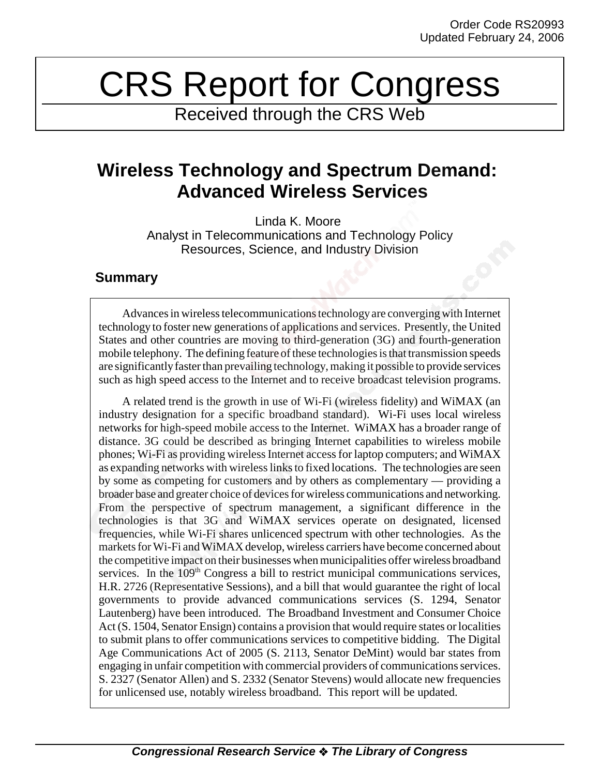# CRS Report for Congress

Received through the CRS Web

## **Wireless Technology and Spectrum Demand: Advanced Wireless Services**

Linda K. Moore Analyst in Telecommunications and Technology Policy Resources, Science, and Industry Division

#### **Summary**

Advances in wireless telecommunications technology are converging with Internet technology to foster new generations of applications and services. Presently, the United States and other countries are moving to third-generation (3G) and fourth-generation mobile telephony. The defining feature of these technologies is that transmission speeds are significantly faster than prevailing technology, making it possible to provide services such as high speed access to the Internet and to receive broadcast television programs.

A related trend is the growth in use of Wi-Fi (wireless fidelity) and WiMAX (an industry designation for a specific broadband standard). Wi-Fi uses local wireless networks for high-speed mobile access to the Internet. WiMAX has a broader range of distance. 3G could be described as bringing Internet capabilities to wireless mobile phones; Wi-Fi as providing wireless Internet access for laptop computers; and WiMAX as expanding networks with wireless links to fixed locations. The technologies are seen by some as competing for customers and by others as complementary — providing a broader base and greater choice of devices for wireless communications and networking. From the perspective of spectrum management, a significant difference in the technologies is that 3G and WiMAX services operate on designated, licensed frequencies, while Wi-Fi shares unlicenced spectrum with other technologies. As the markets for Wi-Fi and WiMAX develop, wireless carriers have become concerned about the competitive impact on their businesses when municipalities offer wireless broadband services. In the 109<sup>th</sup> Congress a bill to restrict municipal communications services, H.R. 2726 (Representative Sessions), and a bill that would guarantee the right of local governments to provide advanced communications services (S. 1294, Senator Lautenberg) have been introduced. The Broadband Investment and Consumer Choice Act (S. 1504, Senator Ensign) contains a provision that would require states or localities to submit plans to offer communications services to competitive bidding. The Digital Age Communications Act of 2005 (S. 2113, Senator DeMint) would bar states from engaging in unfair competition with commercial providers of communications services. S. 2327 (Senator Allen) and S. 2332 (Senator Stevens) would allocate new frequencies for unlicensed use, notably wireless broadband. This report will be updated.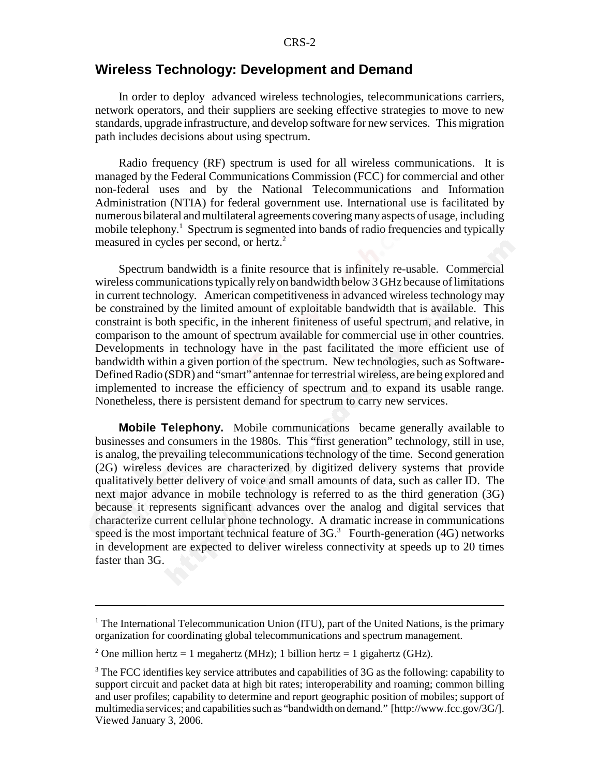#### **Wireless Technology: Development and Demand**

In order to deploy advanced wireless technologies, telecommunications carriers, network operators, and their suppliers are seeking effective strategies to move to new standards, upgrade infrastructure, and develop software for new services. This migration path includes decisions about using spectrum.

Radio frequency (RF) spectrum is used for all wireless communications. It is managed by the Federal Communications Commission (FCC) for commercial and other non-federal uses and by the National Telecommunications and Information Administration (NTIA) for federal government use. International use is facilitated by numerous bilateral and multilateral agreements covering many aspects of usage, including mobile telephony.<sup>1</sup> Spectrum is segmented into bands of radio frequencies and typically measured in cycles per second, or hertz.<sup>2</sup>

Spectrum bandwidth is a finite resource that is infinitely re-usable. Commercial wireless communications typically rely on bandwidth below 3 GHz because of limitations in current technology. American competitiveness in advanced wireless technology may be constrained by the limited amount of exploitable bandwidth that is available. This constraint is both specific, in the inherent finiteness of useful spectrum, and relative, in comparison to the amount of spectrum available for commercial use in other countries. Developments in technology have in the past facilitated the more efficient use of bandwidth within a given portion of the spectrum. New technologies, such as Software-Defined Radio (SDR) and "smart" antennae for terrestrial wireless, are being explored and implemented to increase the efficiency of spectrum and to expand its usable range. Nonetheless, there is persistent demand for spectrum to carry new services.

**Mobile Telephony.** Mobile communications became generally available to businesses and consumers in the 1980s. This "first generation" technology, still in use, is analog, the prevailing telecommunications technology of the time. Second generation (2G) wireless devices are characterized by digitized delivery systems that provide qualitatively better delivery of voice and small amounts of data, such as caller ID. The next major advance in mobile technology is referred to as the third generation (3G) because it represents significant advances over the analog and digital services that characterize current cellular phone technology. A dramatic increase in communications speed is the most important technical feature of  $3G<sup>3</sup>$  Fourth-generation (4G) networks in development are expected to deliver wireless connectivity at speeds up to 20 times faster than 3G.

<sup>&</sup>lt;sup>1</sup> The International Telecommunication Union (ITU), part of the United Nations, is the primary organization for coordinating global telecommunications and spectrum management.

<sup>&</sup>lt;sup>2</sup> One million hertz = 1 megahertz (MHz); 1 billion hertz = 1 gigahertz (GHz).

 $3$  The FCC identifies key service attributes and capabilities of 3G as the following: capability to support circuit and packet data at high bit rates; interoperability and roaming; common billing and user profiles; capability to determine and report geographic position of mobiles; support of multimedia services; and capabilities such as "bandwidth on demand." [http://www.fcc.gov/3G/]. Viewed January 3, 2006.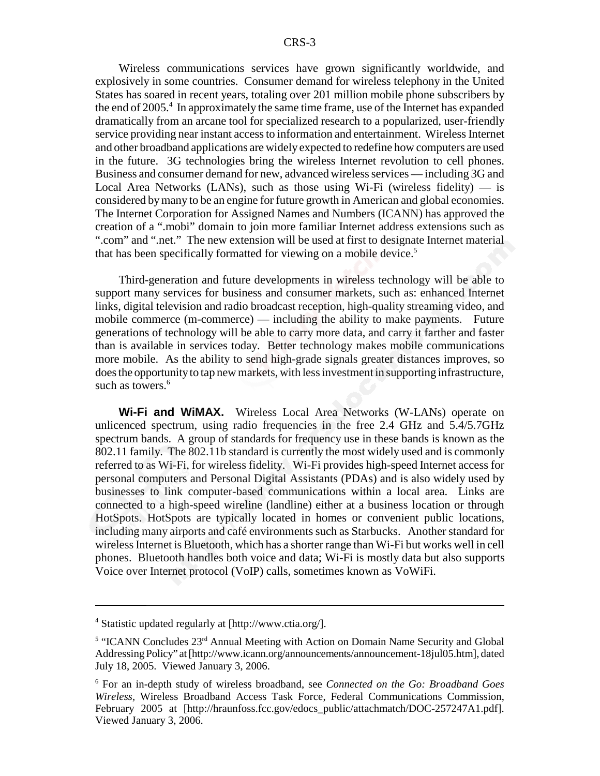Wireless communications services have grown significantly worldwide, and explosively in some countries. Consumer demand for wireless telephony in the United States has soared in recent years, totaling over 201 million mobile phone subscribers by the end of 2005.<sup>4</sup> In approximately the same time frame, use of the Internet has expanded dramatically from an arcane tool for specialized research to a popularized, user-friendly service providing near instant access to information and entertainment. Wireless Internet and other broadband applications are widely expected to redefine how computers are used in the future. 3G technologies bring the wireless Internet revolution to cell phones. Business and consumer demand for new, advanced wireless services — including 3G and Local Area Networks (LANs), such as those using Wi-Fi (wireless fidelity)  $-$  is considered by many to be an engine for future growth in American and global economies. The Internet Corporation for Assigned Names and Numbers (ICANN) has approved the creation of a ".mobi" domain to join more familiar Internet address extensions such as ".com" and ".net." The new extension will be used at first to designate Internet material that has been specifically formatted for viewing on a mobile device.<sup>5</sup>

Third-generation and future developments in wireless technology will be able to support many services for business and consumer markets, such as: enhanced Internet links, digital television and radio broadcast reception, high-quality streaming video, and mobile commerce (m-commerce) — including the ability to make payments. Future generations of technology will be able to carry more data, and carry it farther and faster than is available in services today. Better technology makes mobile communications more mobile. As the ability to send high-grade signals greater distances improves, so does the opportunity to tap new markets, with less investment in supporting infrastructure, such as towers.<sup>6</sup>

**Wi-Fi and WiMAX.** Wireless Local Area Networks (W-LANs) operate on unlicenced spectrum, using radio frequencies in the free 2.4 GHz and 5.4/5.7GHz spectrum bands. A group of standards for frequency use in these bands is known as the 802.11 family. The 802.11b standard is currently the most widely used and is commonly referred to as Wi-Fi, for wireless fidelity. Wi-Fi provides high-speed Internet access for personal computers and Personal Digital Assistants (PDAs) and is also widely used by businesses to link computer-based communications within a local area. Links are connected to a high-speed wireline (landline) either at a business location or through HotSpots. HotSpots are typically located in homes or convenient public locations, including many airports and café environments such as Starbucks. Another standard for wireless Internet is Bluetooth, which has a shorter range than Wi-Fi but works well in cell phones. Bluetooth handles both voice and data; Wi-Fi is mostly data but also supports Voice over Internet protocol (VoIP) calls, sometimes known as VoWiFi.

<sup>4</sup> Statistic updated regularly at [http://www.ctia.org/].

 $<sup>5</sup>$  "ICANN Concludes  $23<sup>rd</sup>$  Annual Meeting with Action on Domain Name Security and Global</sup> Addressing Policy" at [http://www.icann.org/announcements/announcement-18jul05.htm], dated July 18, 2005. Viewed January 3, 2006.

<sup>6</sup> For an in-depth study of wireless broadband, see *Connected on the Go: Broadband Goes Wireless,* Wireless Broadband Access Task Force, Federal Communications Commission, February 2005 at [http://hraunfoss.fcc.gov/edocs\_public/attachmatch/DOC-257247A1.pdf]. Viewed January 3, 2006.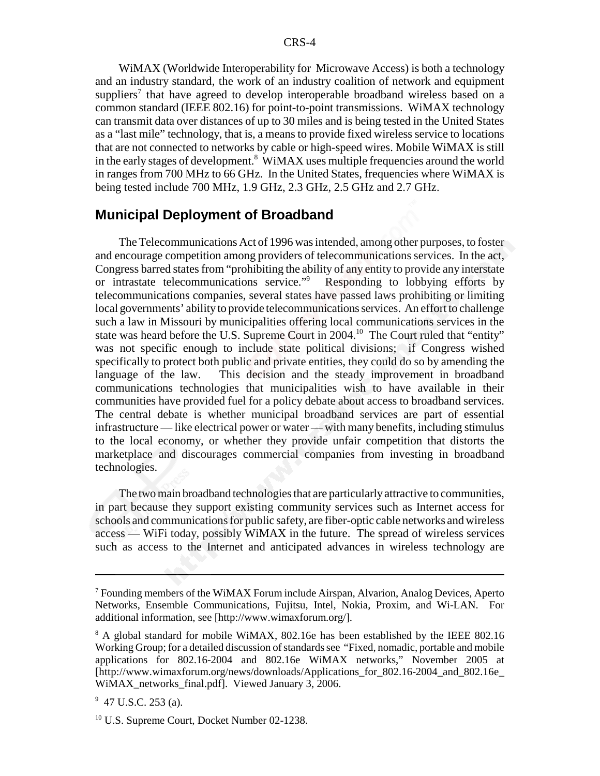WiMAX (Worldwide Interoperability for Microwave Access) is both a technology and an industry standard, the work of an industry coalition of network and equipment suppliers<sup>7</sup> that have agreed to develop interoperable broadband wireless based on a common standard (IEEE 802.16) for point-to-point transmissions. WiMAX technology can transmit data over distances of up to 30 miles and is being tested in the United States as a "last mile" technology, that is, a means to provide fixed wireless service to locations that are not connected to networks by cable or high-speed wires. Mobile WiMAX is still in the early stages of development.<sup>8</sup> WiMAX uses multiple frequencies around the world in ranges from 700 MHz to 66 GHz. In the United States, frequencies where WiMAX is being tested include 700 MHz, 1.9 GHz, 2.3 GHz, 2.5 GHz and 2.7 GHz.

#### **Municipal Deployment of Broadband**

The Telecommunications Act of 1996 was intended, among other purposes, to foster and encourage competition among providers of telecommunications services. In the act, Congress barred states from "prohibiting the ability of any entity to provide any interstate or intrastate telecommunications service."9 Responding to lobbying efforts by telecommunications companies, several states have passed laws prohibiting or limiting local governments' ability to provide telecommunications services. An effort to challenge such a law in Missouri by municipalities offering local communications services in the state was heard before the U.S. Supreme Court in 2004.<sup>10</sup> The Court ruled that "entity" was not specific enough to include state political divisions; if Congress wished specifically to protect both public and private entities, they could do so by amending the language of the law. This decision and the steady improvement in broadband communications technologies that municipalities wish to have available in their communities have provided fuel for a policy debate about access to broadband services. The central debate is whether municipal broadband services are part of essential infrastructure — like electrical power or water — with many benefits, including stimulus to the local economy, or whether they provide unfair competition that distorts the marketplace and discourages commercial companies from investing in broadband technologies.

The two main broadband technologies that are particularly attractive to communities, in part because they support existing community services such as Internet access for schools and communications for public safety, are fiber-optic cable networks and wireless access — WiFi today, possibly WiMAX in the future. The spread of wireless services such as access to the Internet and anticipated advances in wireless technology are

<sup>&</sup>lt;sup>7</sup> Founding members of the WiMAX Forum include Airspan, Alvarion, Analog Devices, Aperto Networks, Ensemble Communications, Fujitsu, Intel, Nokia, Proxim, and Wi-LAN. For additional information, see [http://www.wimaxforum.org/].

<sup>&</sup>lt;sup>8</sup> A global standard for mobile WiMAX, 802.16e has been established by the IEEE 802.16 Working Group; for a detailed discussion of standards see "Fixed, nomadic, portable and mobile applications for 802.16-2004 and 802.16e WiMAX networks," November 2005 at [http://www.wimaxforum.org/news/downloads/Applications\_for\_802.16-2004\_and\_802.16e\_ WiMAX\_networks\_final.pdf]. Viewed January 3, 2006.

<sup>&</sup>lt;sup>9</sup> 47 U.S.C. 253 (a).

<sup>&</sup>lt;sup>10</sup> U.S. Supreme Court, Docket Number 02-1238.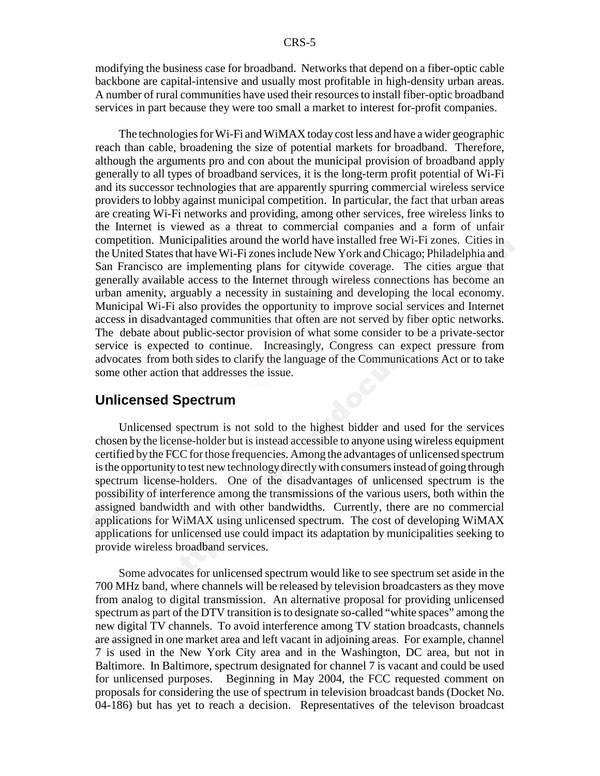modifying the business case for broadband. Networks that depend on a fiber-optic cable backbone are capital-intensive and usually most profitable in high-density urban areas. A number of rural communities have used their resources to install fiber-optic broadband services in part because they were too small a market to interest for-profit companies.

The technologies for Wi-Fi and WiMAX today cost less and have a wider geographic reach than cable, broadening the size of potential markets for broadband. Therefore, although the arguments pro and con about the municipal provision of broadband apply generally to all types of broadband services, it is the long-term profit potential of Wi-Fi and its successor technologies that are apparently spurring commercial wireless service providers to lobby against municipal competition. In particular, the fact that urban areas are creating Wi-Fi networks and providing, among other services, free wireless links to the Internet is viewed as a threat to commercial companies and a form of unfair competition. Municipalities around the world have installed free Wi-Fi zones. Cities in the United States that have Wi-Fi zones include New York and Chicago; Philadelphia and San Francisco are implementing plans for citywide coverage. The cities argue that generally available access to the Internet through wireless connections has become an urban amenity, arguably a necessity in sustaining and developing the local economy. Municipal Wi-Fi also provides the opportunity to improve social services and Internet access in disadvantaged communities that often are not served by fiber optic networks. The debate about public-sector provision of what some consider to be a private-sector service is expected to continue. Increasingly, Congress can expect pressure from advocates from both sides to clarify the language of the Communications Act or to take some other action that addresses the issue.

#### **Unlicensed Spectrum**

Unlicensed spectrum is not sold to the highest bidder and used for the services chosen by the license-holder but is instead accessible to anyone using wireless equipment certified by the FCC for those frequencies. Among the advantages of unlicensed spectrum is the opportunity to test new technology directly with consumers instead of going through spectrum license-holders. One of the disadvantages of unlicensed spectrum is the possibility of interference among the transmissions of the various users, both within the assigned bandwidth and with other bandwidths. Currently, there are no commercial applications for WiMAX using unlicensed spectrum. The cost of developing WiMAX applications for unlicensed use could impact its adaptation by municipalities seeking to provide wireless broadband services.

Some advocates for unlicensed spectrum would like to see spectrum set aside in the 700 MHz band, where channels will be released by television broadcasters as they move from analog to digital transmission. An alternative proposal for providing unlicensed spectrum as part of the DTV transition is to designate so-called "white spaces" among the new digital TV channels. To avoid interference among TV station broadcasts, channels are assigned in one market area and left vacant in adjoining areas. For example, channel 7 is used in the New York City area and in the Washington, DC area, but not in Baltimore. In Baltimore, spectrum designated for channel 7 is vacant and could be used for unlicensed purposes. Beginning in May 2004, the FCC requested comment on proposals for considering the use of spectrum in television broadcast bands (Docket No. 04-186) but has yet to reach a decision. Representatives of the televison broadcast